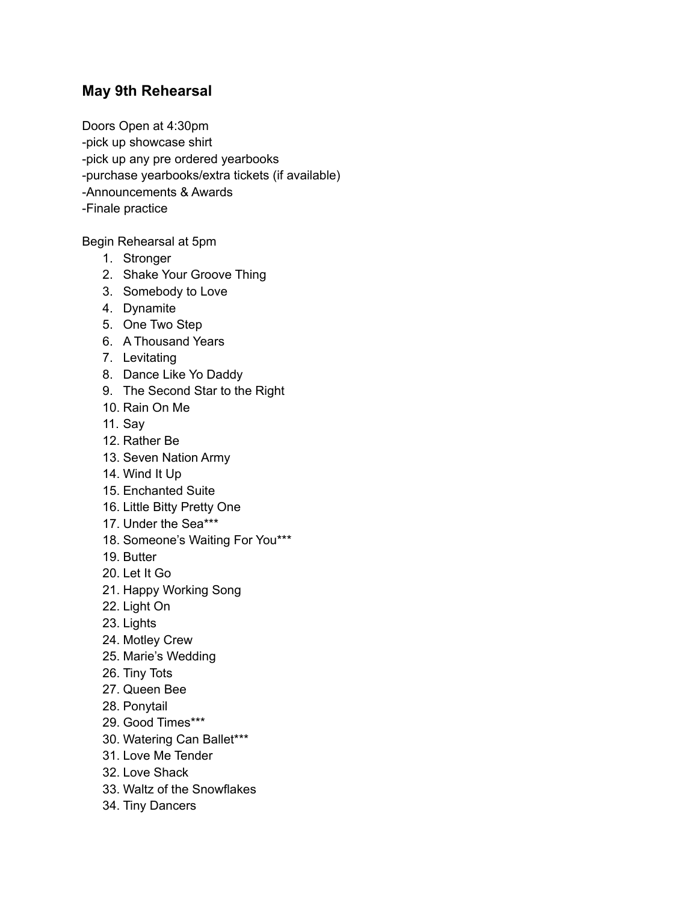## **May 9th Rehearsal**

Doors Open at 4:30pm -pick up showcase shirt -pick up any pre ordered yearbooks -purchase yearbooks/extra tickets (if available) -Announcements & Awards -Finale practice

Begin Rehearsal at 5pm

- 1. Stronger
- 2. Shake Your Groove Thing
- 3. Somebody to Love
- 4. Dynamite
- 5. One Two Step
- 6. A Thousand Years
- 7. Levitating
- 8. Dance Like Yo Daddy
- 9. The Second Star to the Right
- 10. Rain On Me
- 11. Say
- 12. Rather Be
- 13. Seven Nation Army
- 14. Wind It Up
- 15. Enchanted Suite
- 16. Little Bitty Pretty One
- 17. Under the Sea\*\*\*
- 18. Someone's Waiting For You\*\*\*
- 19. Butter
- 20. Let It Go
- 21. Happy Working Song
- 22. Light On
- 23. Lights
- 24. Motley Crew
- 25. Marie's Wedding
- 26. Tiny Tots
- 27. Queen Bee
- 28. Ponytail
- 29. Good Times\*\*\*
- 30. Watering Can Ballet\*\*\*
- 31. Love Me Tender
- 32. Love Shack
- 33. Waltz of the Snowflakes
- 34. Tiny Dancers